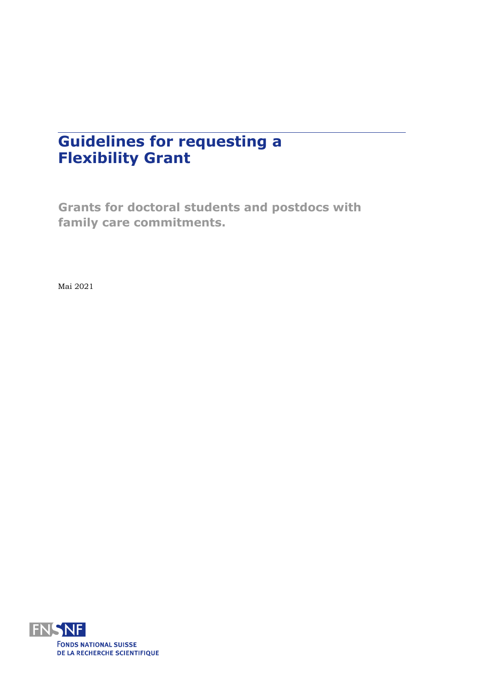# **Guidelines for requesting a Flexibility Grant**

**Grants for doctoral students and postdocs with family care commitments.**

Mai 2021

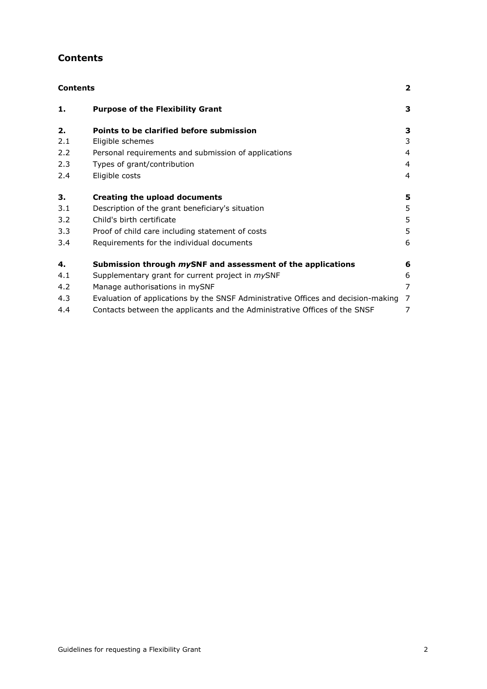## <span id="page-1-0"></span>**Contents**

|     | <b>Contents</b>                                                                   |                |  |
|-----|-----------------------------------------------------------------------------------|----------------|--|
| 1.  | <b>Purpose of the Flexibility Grant</b>                                           | 3              |  |
| 2.  | Points to be clarified before submission                                          | 3              |  |
| 2.1 | Eligible schemes                                                                  | 3              |  |
| 2.2 | Personal requirements and submission of applications                              | $\overline{4}$ |  |
| 2.3 | Types of grant/contribution                                                       | $\overline{4}$ |  |
| 2.4 | Eligible costs                                                                    | $\overline{4}$ |  |
| 3.  | <b>Creating the upload documents</b>                                              |                |  |
| 3.1 | Description of the grant beneficiary's situation                                  | 5              |  |
| 3.2 | Child's birth certificate                                                         |                |  |
| 3.3 | Proof of child care including statement of costs                                  |                |  |
| 3.4 | Requirements for the individual documents                                         | 6              |  |
| 4.  | Submission through <i>my</i> SNF and assessment of the applications               |                |  |
| 4.1 | Supplementary grant for current project in mySNF                                  | 6              |  |
| 4.2 | $\overline{7}$<br>Manage authorisations in mySNF                                  |                |  |
| 4.3 | Evaluation of applications by the SNSF Administrative Offices and decision-making | 7              |  |
| 4.4 | Contacts between the applicants and the Administrative Offices of the SNSF        | 7              |  |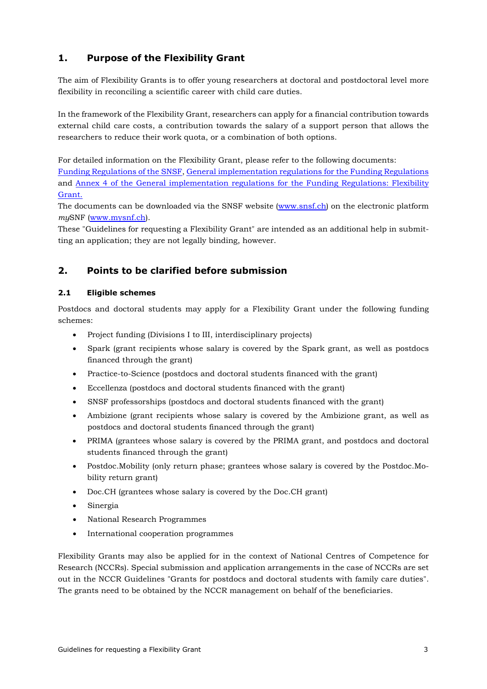## <span id="page-2-0"></span>**1. Purpose of the Flexibility Grant**

The aim of Flexibility Grants is to offer young researchers at doctoral and postdoctoral level more flexibility in reconciling a scientific career with child care duties.

In the framework of the Flexibility Grant, researchers can apply for a financial contribution towards external child care costs, a contribution towards the salary of a support person that allows the researchers to reduce their work quota, or a combination of both options.

For detailed information on the Flexibility Grant, please refer to the following documents:

[Funding Regulations of the SNSF,](http://www.snf.ch/SiteCollectionDocuments/allg_reglement_16_e.pdf) [General implementation regulations for the Funding Regulations](http://www.snf.ch/SiteCollectionDocuments/snsf-general-implementation-regulations-for-the-funding-regulations-e.pdf) and [Annex 4 of the General implementation regulations for the Funding Regulations: Flexibility](http://www.snf.ch/SiteCollectionDocuments/Annex_IV_Ausfuehrungsreglement_Beitragsreglement_E.pdf)  [Grant.](http://www.snf.ch/SiteCollectionDocuments/Annex_IV_Ausfuehrungsreglement_Beitragsreglement_E.pdf)

The documents can be downloaded via the SNSF website (www.snsf.ch) on the electronic platform *my*SNF (www.mysnf.ch).

These "Guidelines for requesting a Flexibility Grant" are intended as an additional help in submitting an application; they are not legally binding, however.

## <span id="page-2-1"></span>**2. Points to be clarified before submission**

#### <span id="page-2-2"></span>**2.1 Eligible schemes**

Postdocs and doctoral students may apply for a Flexibility Grant under the following funding schemes:

- Project funding (Divisions I to III, interdisciplinary projects)
- Spark (grant recipients whose salary is covered by the Spark grant, as well as postdocs financed through the grant)
- Practice-to-Science (postdocs and doctoral students financed with the grant)
- Eccellenza (postdocs and doctoral students financed with the grant)
- SNSF professorships (postdocs and doctoral students financed with the grant)
- Ambizione (grant recipients whose salary is covered by the Ambizione grant, as well as postdocs and doctoral students financed through the grant)
- PRIMA (grantees whose salary is covered by the PRIMA grant, and postdocs and doctoral students financed through the grant)
- Postdoc.Mobility (only return phase; grantees whose salary is covered by the Postdoc.Mobility return grant)
- Doc.CH (grantees whose salary is covered by the Doc.CH grant)
- Sinergia
- National Research Programmes
- International cooperation programmes

Flexibility Grants may also be applied for in the context of National Centres of Competence for Research (NCCRs). Special submission and application arrangements in the case of NCCRs are set out in the NCCR Guidelines "Grants for postdocs and doctoral students with family care duties". The grants need to be obtained by the NCCR management on behalf of the beneficiaries.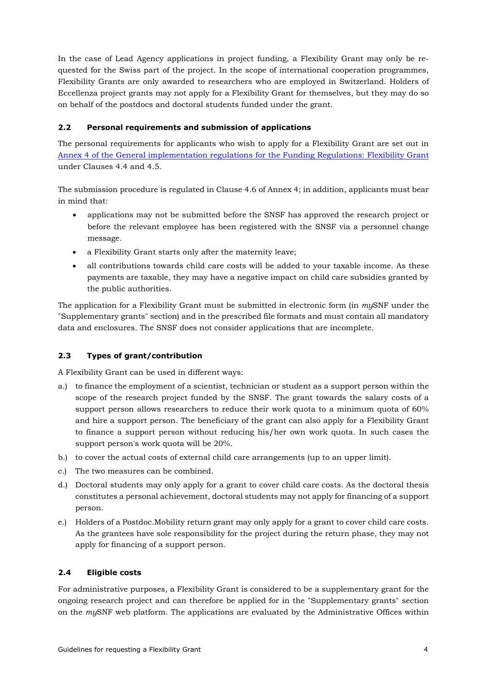In the case of Lead Agency applications in project funding, a Flexibility Grant may only be requested for the Swiss part of the project. In the scope of international cooperation programmes, Flexibility Grants are only awarded to researchers who are employed in Switzerland. Holders of Eccellenza project grants may not apply for a Flexibility Grant for themselves, but they may do so on behalf of the postdocs and doctoral students funded under the grant.

#### <span id="page-3-0"></span>**2.2 Personal requirements and submission of applications**

The personal requirements for applicants who wish to apply for a Flexibility Grant are set out in [Annex 4 of the General implementation regulations for the Funding Regulations: Flexibility Grant](http://www.snf.ch/SiteCollectionDocuments/Annex_IV_Ausfuehrungsreglement_Beitragsreglement_E.pdf) under Clauses 4.4 and 4.5.

The submission procedure is regulated in Clause 4.6 of Annex 4; in addition, applicants must bear in mind that:

- applications may not be submitted before the SNSF has approved the research project or before the relevant employee has been registered with the SNSF via a personnel change message.
- a Flexibility Grant starts only after the maternity leave;
- all contributions towards child care costs will be added to your taxable income. As these payments are taxable, they may have a negative impact on child care subsidies granted by the public authorities.

The application for a Flexibility Grant must be submitted in electronic form (in *my*SNF under the "Supplementary grants" section) and in the prescribed file formats and must contain all mandatory data and enclosures. The SNSF does not consider applications that are incomplete.

#### <span id="page-3-1"></span>**2.3 Types of grant/contribution**

A Flexibility Grant can be used in different ways:

- a.) to finance the employment of a scientist, technician or student as a support person within the scope of the research project funded by the SNSF. The grant towards the salary costs of a support person allows researchers to reduce their work quota to a minimum quota of 60% and hire a support person. The beneficiary of the grant can also apply for a Flexibility Grant to finance a support person without reducing his/her own work quota. In such cases the support person's work quota will be 20%.
- b.) to cover the actual costs of external child care arrangements (up to an upper limit).
- c.) The two measures can be combined.
- d.) Doctoral students may only apply for a grant to cover child care costs. As the doctoral thesis constitutes a personal achievement, doctoral students may not apply for financing of a support person.
- e.) Holders of a Postdoc.Mobility return grant may only apply for a grant to cover child care costs. As the grantees have sole responsibility for the project during the return phase, they may not apply for financing of a support person.

#### <span id="page-3-2"></span>**2.4 Eligible costs**

For administrative purposes, a Flexibility Grant is considered to be a supplementary grant for the ongoing research project and can therefore be applied for in the "Supplementary grants" section on the *my*SNF web platform. The applications are evaluated by the Administrative Offices within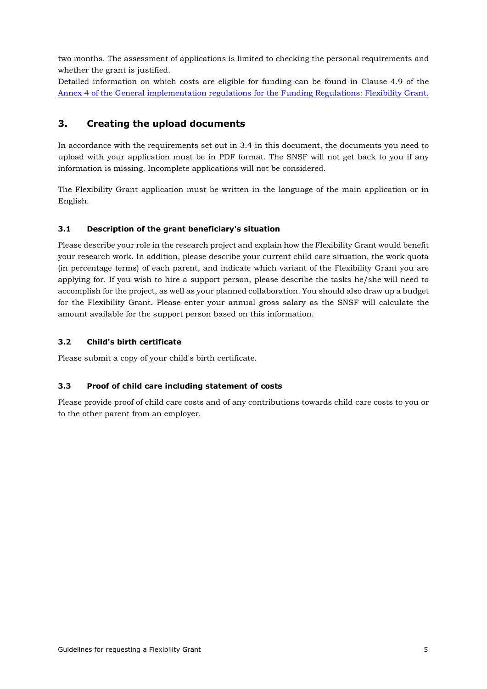two months. The assessment of applications is limited to checking the personal requirements and whether the grant is justified.

Detailed information on which costs are eligible for funding can be found in Clause 4.9 of the [Annex 4 of the General implementation regulations for the Funding Regulations: Flexibility Grant.](http://www.snf.ch/SiteCollectionDocuments/Annex_IV_Ausfuehrungsreglement_Beitragsreglement_E.pdf)

## <span id="page-4-0"></span>**3. Creating the upload documents**

In accordance with the requirements set out in [3.4](#page-5-0) in this document, the documents you need to upload with your application must be in PDF format. The SNSF will not get back to you if any information is missing. Incomplete applications will not be considered.

The Flexibility Grant application must be written in the language of the main application or in English.

#### <span id="page-4-1"></span>**3.1 Description of the grant beneficiary's situation**

Please describe your role in the research project and explain how the Flexibility Grant would benefit your research work. In addition, please describe your current child care situation, the work quota (in percentage terms) of each parent, and indicate which variant of the Flexibility Grant you are applying for. If you wish to hire a support person, please describe the tasks he/she will need to accomplish for the project, as well as your planned collaboration. You should also draw up a budget for the Flexibility Grant. Please enter your annual gross salary as the SNSF will calculate the amount available for the support person based on this information.

#### <span id="page-4-2"></span>**3.2 Child's birth certificate**

Please submit a copy of your child's birth certificate.

#### <span id="page-4-3"></span>**3.3 Proof of child care including statement of costs**

Please provide proof of child care costs and of any contributions towards child care costs to you or to the other parent from an employer.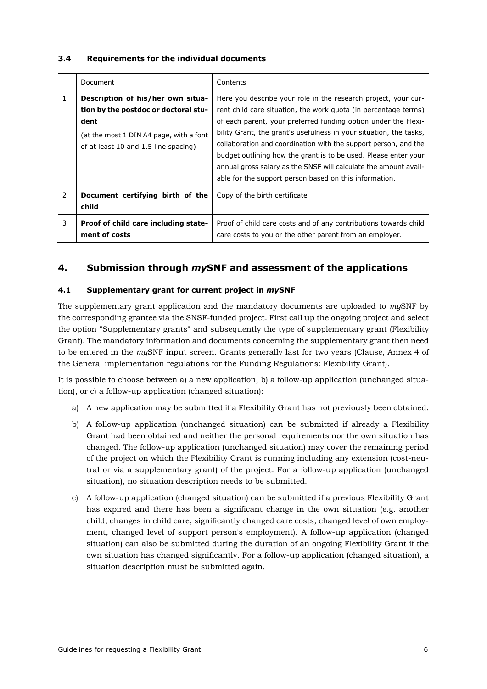#### <span id="page-5-0"></span>**3.4 Requirements for the individual documents**

|              | Document                                                                                                                                                             | Contents                                                                                                                                                                                                                                                                                                                                                                                                                                                                                                                                      |
|--------------|----------------------------------------------------------------------------------------------------------------------------------------------------------------------|-----------------------------------------------------------------------------------------------------------------------------------------------------------------------------------------------------------------------------------------------------------------------------------------------------------------------------------------------------------------------------------------------------------------------------------------------------------------------------------------------------------------------------------------------|
| $\mathbf{1}$ | Description of his/her own situa-<br>tion by the postdoc or doctoral stu-<br>dent<br>(at the most 1 DIN A4 page, with a font<br>of at least 10 and 1.5 line spacing) | Here you describe your role in the research project, your cur-<br>rent child care situation, the work quota (in percentage terms)<br>of each parent, your preferred funding option under the Flexi-<br>bility Grant, the grant's usefulness in your situation, the tasks,<br>collaboration and coordination with the support person, and the<br>budget outlining how the grant is to be used. Please enter your<br>annual gross salary as the SNSF will calculate the amount avail-<br>able for the support person based on this information. |
| 2            | Document certifying birth of the<br>child                                                                                                                            | Copy of the birth certificate                                                                                                                                                                                                                                                                                                                                                                                                                                                                                                                 |
| 3            | Proof of child care including state-<br>ment of costs                                                                                                                | Proof of child care costs and of any contributions towards child<br>care costs to you or the other parent from an employer.                                                                                                                                                                                                                                                                                                                                                                                                                   |

## <span id="page-5-1"></span>**4. Submission through** *my***SNF and assessment of the applications**

#### <span id="page-5-2"></span>**4.1 Supplementary grant for current project in** *my***SNF**

The supplementary grant application and the mandatory documents are uploaded to *my*SNF by the corresponding grantee via the SNSF-funded project. First call up the ongoing project and select the option "Supplementary grants" and subsequently the type of supplementary grant (Flexibility Grant). The mandatory information and documents concerning the supplementary grant then need to be entered in the *my*SNF input screen. Grants generally last for two years (Clause, Annex 4 of the General implementation regulations for the Funding Regulations: Flexibility Grant).

It is possible to choose between a) a new application, b) a follow-up application (unchanged situation), or c) a follow-up application (changed situation):

- a) A new application may be submitted if a Flexibility Grant has not previously been obtained.
- b) A follow-up application (unchanged situation) can be submitted if already a Flexibility Grant had been obtained and neither the personal requirements nor the own situation has changed. The follow-up application (unchanged situation) may cover the remaining period of the project on which the Flexibility Grant is running including any extension (cost-neutral or via a supplementary grant) of the project. For a follow-up application (unchanged situation), no situation description needs to be submitted.
- c) A follow-up application (changed situation) can be submitted if a previous Flexibility Grant has expired and there has been a significant change in the own situation (e.g. another child, changes in child care, significantly changed care costs, changed level of own employment, changed level of support person's employment). A follow-up application (changed situation) can also be submitted during the duration of an ongoing Flexibility Grant if the own situation has changed significantly. For a follow-up application (changed situation), a situation description must be submitted again.